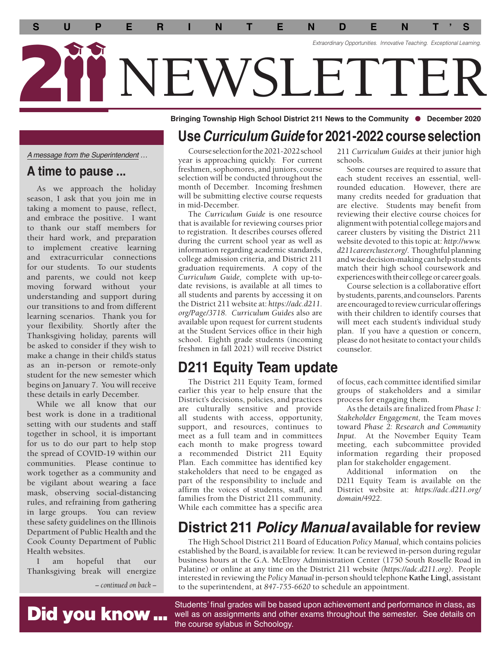

**Bringing Township High School District 211 News to the Community • December 2020** 

*A message from the Superintendent …* 

### **A time to pause ...**

As we approach the holiday season, I ask that you join me in taking a moment to pause, reflect, and embrace the positive. I want to thank our staff members for their hard work, and preparation to implement creative learning and extracurricular connections for our students. To our students and parents, we could not keep moving forward without your understanding and support during our transitions to and from different learning scenarios. Thank you for your flexibility. Shortly after the Thanksgiving holiday, parents will be asked to consider if they wish to make a change in their child's status as an in-person or remote-only student for the new semester which begins on January 7. You will receive these details in early December.

While we all know that our best work is done in a traditional setting with our students and staff together in school, it is important for us to do our part to help stop the spread of COVID-19 within our communities. Please continue to work together as a community and be vigilant about wearing a face mask, observing social-distancing rules, and refraining from gathering in large groups. You can review these safety guidelines on the Illinois Department of Public Health and the Cook County Department of Public Health websites.

I am hopeful that our Thanksgiving break will energize

Did you know ...

*– continued on back –*

## **Use** *Curriculum Guide* **for 2021-2022 course selection**

 Courseselectionforthe2021-2022school year is approaching quickly. For current freshmen, sophomores, and juniors, course selection will be conducted throughout the month of December. Incoming freshmen will be submitting elective course requests in mid-December.

 *org/Page/3718. Curriculum Guides* also are The *Curriculum Guide* is one resource that is available for reviewing courses prior to registration. It describes courses offered during the current school year as well as information regarding academic standards, college admission criteria, and District 211 graduation requirements. A copy of the *Curriculum Guide,* complete with up-todate revisions, is available at all times to all students and parents by accessing it on the District 211 website at:*<https://adc.d211>.*  available upon request for current students at the Student Services offce in their high school. Eighth grade students (incoming freshmen in fall 2021) will receive District

## **D211 Equity Team update**

The District 211 Equity Team, formed earlier this year to help ensure that the District's decisions, policies, and practices are culturally sensitive and provide all students with access, opportunity, support, and resources, continues to meet as a full team and in committees each month to make progress toward a recommended District 211 Equity Plan. Each committee has identifed key stakeholders that need to be engaged as part of the responsibility to include and affrm the voices of students, staff, and families from the District 211 community. While each committee has a specifc area

211 *Curriculum Guides* at their junior high schools.

Some courses are required to assure that each student receives an essential, wellrounded education. However, there are many credits needed for graduation that are elective. Students may beneft from reviewing their elective course choices for alignment with potential college majors and career clusters by visiting the District 211 website devoted to this topic at: *[http://www.](http://www) [d211careercluster.org](https://d211careercluster.org)/.* Thoughtful planning and wise decision-making can help students match their high school coursework and experiences with their college or career goals.

Course selection is a collaborative effort by students, parents, and counselors. Parents are encouraged to review curricular offerings with their children to identify courses that will meet each student's individual study plan. If you have a question or concern, please do not hesitate to contact your child's counselor.

of focus, each committee identifed similar groups of stakeholders and a similar process for engaging them.

 *Input.* At the November Equity Team As the details are fnalized from *Phase 1: Stakeholder Engagement,* the Team moves toward *Phase 2: Research and Community*  meeting, each subcommittee provided information regarding their proposed plan for stakeholder engagement.

Additional information on the D211 Equity Team is available on the District website at: *<https://adc.d211.org>/ domain/4922.* 

# **District 211** *Policy Manual* **available for review**

The High School District 211 Board of Education *Policy Manual,* which contains policies established by the Board, is available for review. It can be reviewed in-person during regular business hours at the G.A. McElroy Administration Center (1750 South Roselle Road in Palatine) or online at any time on the District 211 website *[\(https://adc.d211.org\)](https://adc.d211.org).* People interested in reviewing the *Policy Manual* in-person should telephone **Kathe Lingl,** assistant to the superintendent, at *847-755-6620* to schedule an appointment.

Students' final grades will be based upon achievement and performance in class, as well as on assignments and other exams throughout the semester. See details on the course sylabus in Schoology.